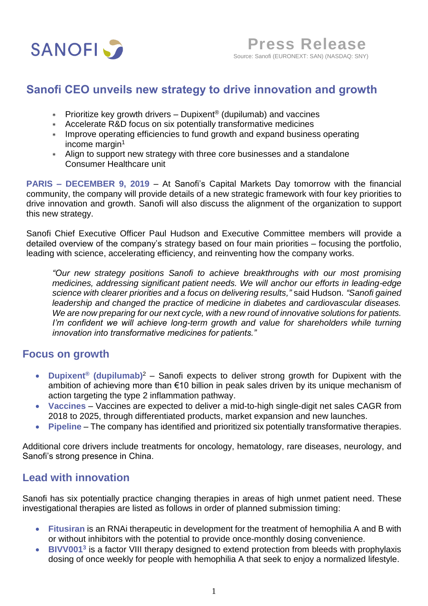

# **Sanofi CEO unveils new strategy to drive innovation and growth**

- Fioritize key growth drivers Dupixent<sup>®</sup> (dupilumab) and vaccines
- Accelerate R&D focus on six potentially transformative medicines
- Improve operating efficiencies to fund growth and expand business operating income margin<sup>1</sup>
- Align to support new strategy with three core businesses and a standalone Consumer Healthcare unit

**PARIS – DECEMBER 9, 2019** – At Sanofi's Capital Markets Day tomorrow with the financial community, the company will provide details of a new strategic framework with four key priorities to drive innovation and growth. Sanofi will also discuss the alignment of the organization to support this new strategy.

Sanofi Chief Executive Officer Paul Hudson and Executive Committee members will provide a detailed overview of the company's strategy based on four main priorities – focusing the portfolio, leading with science, accelerating efficiency, and reinventing how the company works.

*"Our new strategy positions Sanofi to achieve breakthroughs with our most promising medicines, addressing significant patient needs. We will anchor our efforts in leading-edge science with clearer priorities and a focus on delivering results,"* said Hudson. *"Sanofi gained leadership and changed the practice of medicine in diabetes and cardiovascular diseases. We are now preparing for our next cycle, with a new round of innovative solutions for patients. I'm confident we will achieve long-term growth and value for shareholders while turning innovation into transformative medicines for patients."*

# **Focus on growth**

- **Dupixent® (dupilumab)**<sup>2</sup> Sanofi expects to deliver strong growth for Dupixent with the ambition of achieving more than €10 billion in peak sales driven by its unique mechanism of action targeting the type 2 inflammation pathway.
- **Vaccines**  Vaccines are expected to deliver a mid-to-high single-digit net sales CAGR from 2018 to 2025, through differentiated products, market expansion and new launches.
- **Pipeline**  The company has identified and prioritized six potentially transformative therapies.

Additional core drivers include treatments for oncology, hematology, rare diseases, neurology, and Sanofi's strong presence in China.

# **Lead with innovation**

Sanofi has six potentially practice changing therapies in areas of high unmet patient need. These investigational therapies are listed as follows in order of planned submission timing:

- **Fitusiran** is an RNAi therapeutic in development for the treatment of hemophilia A and B with or without inhibitors with the potential to provide once-monthly dosing convenience.
- BIVV001<sup>3</sup> is a factor VIII therapy designed to extend protection from bleeds with prophylaxis dosing of once weekly for people with hemophilia A that seek to enjoy a normalized lifestyle.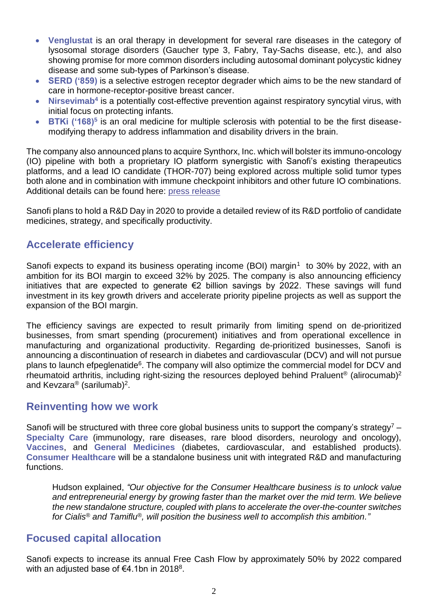- **Venglustat** is an oral therapy in development for several rare diseases in the category of lysosomal storage disorders (Gaucher type 3, Fabry, Tay-Sachs disease, etc.), and also showing promise for more common disorders including autosomal dominant polycystic kidney disease and some sub-types of Parkinson's disease.
- **SERD ('859)** is a selective estrogen receptor degrader which aims to be the new standard of care in hormone-receptor-positive breast cancer.
- Nirsevimab<sup>4</sup> is a potentially cost-effective prevention against respiratory syncytial virus, with initial focus on protecting infants.
- **BTKi** ('168)<sup>5</sup> is an oral medicine for multiple sclerosis with potential to be the first diseasemodifying therapy to address inflammation and disability drivers in the brain.

The company also announced plans to acquire Synthorx, Inc. which will bolster its immuno-oncology (IO) pipeline with both a proprietary IO platform synergistic with Sanofi's existing therapeutics platforms, and a lead IO candidate (THOR-707) being explored across multiple solid tumor types both alone and in combination with immune checkpoint inhibitors and other future IO combinations. Additional details can be found here: [press release](https://www.sanofi.com/en/media-room/press-releases/2019/2019-12-09-07-00-00)

Sanofi plans to hold a R&D Day in 2020 to provide a detailed review of its R&D portfolio of candidate medicines, strategy, and specifically productivity.

## **Accelerate efficiency**

Sanofi expects to expand its business operating income (BOI) margin<sup>1</sup> to 30% by 2022, with an ambition for its BOI margin to exceed 32% by 2025. The company is also announcing efficiency initiatives that are expected to generate €2 billion savings by 2022. These savings will fund investment in its key growth drivers and accelerate priority pipeline projects as well as support the expansion of the BOI margin.

The efficiency savings are expected to result primarily from limiting spend on de-prioritized businesses, from smart spending (procurement) initiatives and from operational excellence in manufacturing and organizational productivity. Regarding de-prioritized businesses, Sanofi is announcing a discontinuation of research in diabetes and cardiovascular (DCV) and will not pursue plans to launch efpeglenatide<sup>6</sup>. The company will also optimize the commercial model for DCV and rheumatoid arthritis, including right-sizing the resources deployed behind Praluent® (alirocumab)<sup>2</sup> and Kevzara® (sarilumab)<sup>2</sup>.

## **Reinventing how we work**

Sanofi will be structured with three core global business units to support the company's strategy<sup>7</sup> – **Specialty Care** (immunology, rare diseases, rare blood disorders, neurology and oncology), **Vaccines**, and **General Medicines** (diabetes, cardiovascular, and established products). **Consumer Healthcare** will be a standalone business unit with integrated R&D and manufacturing functions.

Hudson explained, *"Our objective for the Consumer Healthcare business is to unlock value and entrepreneurial energy by growing faster than the market over the mid term. We believe the new standalone structure, coupled with plans to accelerate the over-the-counter switches for Cialis® and Tamiflu®, will position the business well to accomplish this ambition."*

# **Focused capital allocation**

Sanofi expects to increase its annual Free Cash Flow by approximately 50% by 2022 compared with an adjusted base of  $€4.1$ bn in 2018<sup>8</sup>.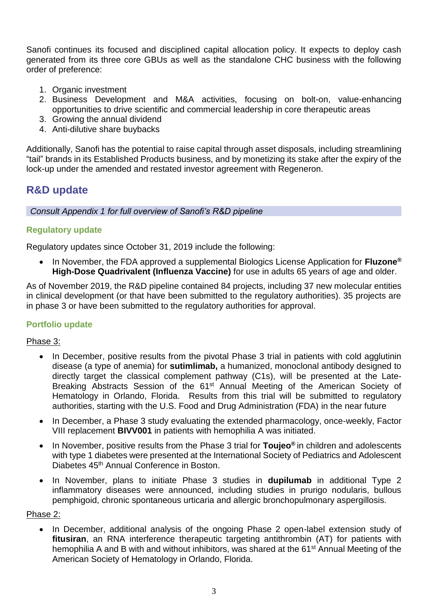Sanofi continues its focused and disciplined capital allocation policy. It expects to deploy cash generated from its three core GBUs as well as the standalone CHC business with the following order of preference:

- 1. Organic investment
- 2. Business Development and M&A activities, focusing on bolt-on, value-enhancing opportunities to drive scientific and commercial leadership in core therapeutic areas
- 3. Growing the annual dividend
- 4. Anti-dilutive share buybacks

Additionally, Sanofi has the potential to raise capital through asset disposals, including streamlining "tail" brands in its Established Products business, and by monetizing its stake after the expiry of the lock-up under the amended and restated investor agreement with Regeneron.

# **R&D update**

*Consult Appendix 1 for full overview of Sanofi's R&D pipeline*

### **Regulatory update**

Regulatory updates since October 31, 2019 include the following:

• In November, the FDA approved a supplemental Biologics License Application for **Fluzone® High-Dose Quadrivalent (Influenza Vaccine)** for use in adults 65 years of age and older.

As of November 2019, the R&D pipeline contained 84 projects, including 37 new molecular entities in clinical development (or that have been submitted to the regulatory authorities). 35 projects are in phase 3 or have been submitted to the regulatory authorities for approval.

### **Portfolio update**

Phase 3:

- In December, positive results from the pivotal Phase 3 trial in patients with cold agglutinin disease (a type of anemia) for **sutimlimab,** a humanized, monoclonal antibody designed to directly target the classical complement pathway (C1s), will be presented at the Late-Breaking Abstracts Session of the 61<sup>st</sup> Annual Meeting of the American Society of Hematology in Orlando, Florida. Results from this trial will be submitted to regulatory authorities, starting with the U.S. Food and Drug Administration (FDA) in the near future
- In December, a Phase 3 study evaluating the extended pharmacology, once-weekly, Factor VIII replacement **BIVV001** in patients with hemophilia A was initiated.
- In November, positive results from the Phase 3 trial for **Toujeo®** in children and adolescents with type 1 diabetes were presented at the International Society of Pediatrics and Adolescent Diabetes 45th Annual Conference in Boston.
- In November, plans to initiate Phase 3 studies in **dupilumab** in additional Type 2 inflammatory diseases were announced, including studies in prurigo nodularis, bullous pemphigoid, chronic spontaneous urticaria and allergic bronchopulmonary aspergillosis.

### Phase 2:

• In December, additional analysis of the ongoing Phase 2 open-label extension study of **fitusiran**, an RNA interference therapeutic targeting antithrombin (AT) for patients with hemophilia A and B with and without inhibitors, was shared at the 61<sup>st</sup> Annual Meeting of the American Society of Hematology in Orlando, Florida.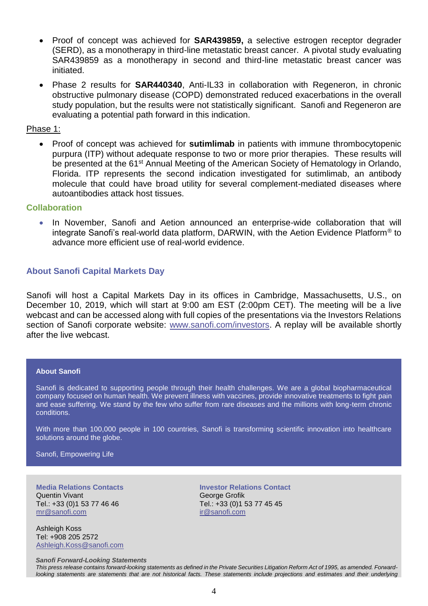- Proof of concept was achieved for **SAR439859,** a selective estrogen receptor degrader (SERD), as a monotherapy in third-line metastatic breast cancer. A pivotal study evaluating SAR439859 as a monotherapy in second and third-line metastatic breast cancer was initiated.
- Phase 2 results for **SAR440340**, Anti-IL33 in collaboration with Regeneron, in chronic obstructive pulmonary disease (COPD) demonstrated reduced exacerbations in the overall study population, but the results were not statistically significant. Sanofi and Regeneron are evaluating a potential path forward in this indication.

#### Phase 1:

• Proof of concept was achieved for **sutimlimab** in patients with immune thrombocytopenic purpura (ITP) without adequate response to two or more prior therapies. These results will be presented at the 61<sup>st</sup> Annual Meeting of the American Society of Hematology in Orlando, Florida. ITP represents the second indication investigated for sutimlimab, an antibody molecule that could have broad utility for several complement-mediated diseases where autoantibodies attack host tissues.

#### **Collaboration**

• In November, Sanofi and Aetion announced an enterprise-wide collaboration that will integrate Sanofi's real-world data platform, DARWIN, with the Aetion Evidence Platform® to advance more efficient use of real-world evidence.

#### **About Sanofi Capital Markets Day**

Sanofi will host a Capital Markets Day in its offices in Cambridge, Massachusetts, U.S., on December 10, 2019, which will start at 9:00 am EST (2:00pm CET). The meeting will be a live webcast and can be accessed along with full copies of the presentations via the Investors Relations section of Sanofi corporate website: [www.sanofi.com/investors.](http://www.sanofi.com/investors) A replay will be available shortly after the live webcast.

#### **About Sanofi**

Sanofi is dedicated to supporting people through their health challenges. We are a global biopharmaceutical company focused on human health. We prevent illness with vaccines, provide innovative treatments to fight pain and ease suffering. We stand by the few who suffer from rare diseases and the millions with long-term chronic conditions.

With more than 100,000 people in 100 countries, Sanofi is transforming scientific innovation into healthcare solutions around the globe.

Sanofi, Empowering Life

#### **Media Relations Contacts**

Quentin Vivant Tel.: +33 (0)1 53 77 46 46 [mr@sanofi.com](mailto:mr@sanofi.com)

Ashleigh Koss Tel: +908 205 2572 [Ashleigh.Koss@sanofi.com](mailto:Ashleigh.Koss@sanofi.com)

 *Sanofi Forward-Looking Statements*

**Investor Relations Contact** George Grofik Tel.: +33 (0)1 53 77 45 45 [ir@sanofi.com](mailto:ir@sanofi.com)

*This press release contains forward-looking statements as defined in the Private Securities Litigation Reform Act of 1995, as amended. Forward*looking statements are statements that are not historical facts. These statements include projections and estimates and their underlying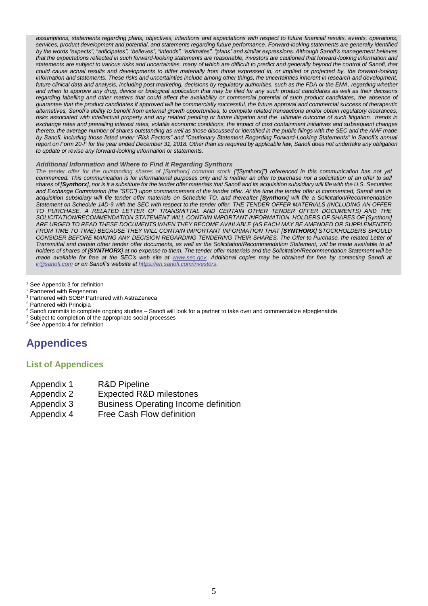*assumptions, statements regarding plans, objectives, intentions and expectations with respect to future financial results, events, operations, services, product development and potential, and statements regarding future performance. Forward-looking statements are generally identified by the words "expects", "anticipates", "believes", "intends", "estimates", "plans" and similar expressions. Although Sanofi's management believes that the expectations reflected in such forward-looking statements are reasonable, investors are cautioned that forward-looking information and*  statements are subject to various risks and uncertainties, many of which are difficult to predict and generally beyond the control of Sanofi, that *could cause actual results and developments to differ materially from those expressed in, or implied or projected by, the forward-looking information and statements. These risks and uncertainties include among other things, the uncertainties inherent in research and development, future clinical data and analysis, including post marketing, decisions by regulatory authorities, such as the FDA or the EMA, regarding whether and when to approve any drug, device or biological application that may be filed for any such product candidates as well as their decisions*  regarding labelling and other matters that could affect the availability or commercial potential of such product candidates, the absence of *guarantee that the product candidates if approved will be commercially successful, the future approval and commercial success of therapeutic alternatives, Sanofi's ability to benefit from external growth opportunities, to complete related transactions and/or obtain regulatory clearances,*  risks associated with intellectual property and any related pending or future litigation and the ultimate outcome of such litigation, trends in *exchange rates and prevailing interest rates, volatile economic conditions, the impact of cost containment initiatives and subsequent changes thereto, the average number of shares outstanding as well as those discussed or identified in the public filings with the SEC and the AMF made by Sanofi, including those listed under "Risk Factors" and "Cautionary Statement Regarding Forward-Looking Statements" in Sanofi's annual report on Form 20-F for the year ended December 31, 2018. Other than as required by applicable law, Sanofi does not undertake any obligation to update or revise any forward-looking information or statements.*

#### *Additional Information and Where to Find It Regarding Synthorx*

*The tender offer for the outstanding shares of [Synthorx] common stock ("[Synthorx]") referenced in this communication has not yet*  commenced. This communication is for informational purposes only and is neither an offer to purchase nor a solicitation of an offer to sell *shares of [Synthorx], nor is it a substitute for the tender offer materials that Sanofi and its acquisition subsidiary will file with the U.S. Securities and Exchange Commission (the "SEC") upon commencement of the tender offer. At the time the tender offer is commenced, Sanofi and its acquisition subsidiary will file tender offer materials on Schedule TO, and thereafter [Synthorx] will file a Solicitation/Recommendation Statement on Schedule 14D-9 with the SEC with respect to the tender offer. THE TENDER OFFER MATERIALS (INCLUDING AN OFFER TO PURCHASE, A RELATED LETTER OF TRANSMITTAL AND CERTAIN OTHER TENDER OFFER DOCUMENTS) AND THE SOLICITATION/RECOMMENDATION STATEMENT WILL CONTAIN IMPORTANT INFORMATION. HOLDERS OF SHARES OF [Synthorx] ARE URGED TO READ THESE DOCUMENTS WHEN THEY BECOME AVAILABLE (AS EACH MAY BE AMENDED OR SUPPLEMENTED FROM TIME TO TIME) BECAUSE THEY WILL CONTAIN IMPORTANT INFORMATION THAT [SYNTHORX] STOCKHOLDERS SHOULD*  CONSIDER BEFORE MAKING ANY DECISION REGARDING TENDERING THEIR SHARES. The Offer to Purchase, the related Letter of *Transmittal and certain other tender offer documents, as well as the Solicitation/Recommendation Statement, will be made available to all holders of shares of [SYNTHORX] at no expense to them. The tender offer materials and the Solicitation/Recommendation Statement will be made available for free at the SEC's web site at [www.sec.gov.](http://www.sec.gov/) Additional copies may be obtained for free by contacting Sanofi at [ir@sanofi.com](mailto:ir@sanofi.com) or on Sanofi's website at [https://en.sanofi.com/investors.](https://en.sanofi.com/investors)*

- <sup>1</sup> See Appendix 3 for definition
- <sup>2</sup> Partnered with Regeneron
- <sup>3</sup> Partnered with SOBI<sup>4</sup> Partnered with AstraZeneca
- <sup>5</sup> Partnered with Principia
- <sup>6</sup> Sanofi commits to complete ongoing studies Sanofi will look for a partner to take over and commercialize efpeglenatide
- <sup>7</sup> Subject to completion of the appropriate social processes
- <sup>8</sup> See Appendix 4 for definition

# **Appendices**

#### **List of Appendices**

- Appendix 1 R&D Pipeline
- Appendix 2 Expected R&D milestones
- Appendix 3 Business Operating Income definition
- Appendix 4 Free Cash Flow definition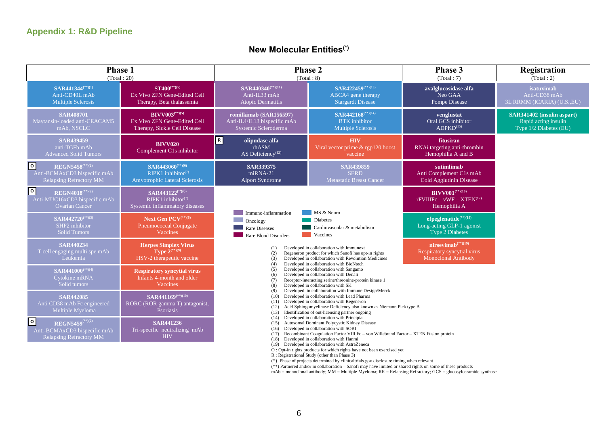### **New Molecular Entities(\*)**

| <b>Phase 1</b><br>(Total: 20)                                                                             |                                                                                                          | <b>Phase 2</b><br>(Total: 8)                                                                                                                                                                                                                                                                                                                                                                                                                                                                                                                                                        |                                                                                                                                                                              | Phase 3<br>(Total: 7)                                                                 | Registration<br>(Total: 2)                                                   |  |  |
|-----------------------------------------------------------------------------------------------------------|----------------------------------------------------------------------------------------------------------|-------------------------------------------------------------------------------------------------------------------------------------------------------------------------------------------------------------------------------------------------------------------------------------------------------------------------------------------------------------------------------------------------------------------------------------------------------------------------------------------------------------------------------------------------------------------------------------|------------------------------------------------------------------------------------------------------------------------------------------------------------------------------|---------------------------------------------------------------------------------------|------------------------------------------------------------------------------|--|--|
| SAR441344 <sup>(**)(1)</sup><br>Anti-CD40L mAb<br><b>Multiple Sclerosis</b>                               | $ST400^{(**)(5)}$<br>Ex Vivo ZFN Gene-Edited Cell<br>Therapy, Beta thalassemia                           | SAR440340 <sup>(**)(11)</sup><br>Anti-IL33 mAb<br><b>Atopic Dermatitis</b>                                                                                                                                                                                                                                                                                                                                                                                                                                                                                                          | SAR422459 <sup>(**)(13)</sup><br>ABCA4 gene therapy<br><b>Stargardt Disease</b>                                                                                              | avalglucosidase alfa<br>Neo GAA<br>Pompe Disease                                      | isatuximab<br>Anti-CD38 mAb<br>3L RRMM (ICARIA) (U.S., EU)                   |  |  |
| <b>SAR408701</b><br>Maytansin-loaded anti-CEACAM5<br>mAb, NSCLC                                           | <b>BIVV003</b> <sup>(**)(5)</sup><br>Ex Vivo ZFN Gene-Edited Cell<br>Therapy, Sickle Cell Disease        | romilkimab (SAR156597)<br>Anti-IL4/IL13 bispecific mAb<br>Systemic Scleroderma                                                                                                                                                                                                                                                                                                                                                                                                                                                                                                      | SAR442168 <sup>(**)(14)</sup><br><b>BTK</b> inhibitor<br><b>Multiple Sclerosis</b>                                                                                           | venglustat<br>Oral GCS inhibitor<br>ADPKD <sup>(15)</sup>                             | SAR341402 (insulin aspart)<br>Rapid acting insulin<br>Type 1/2 Diabetes (EU) |  |  |
| <b>SAR439459</b><br>anti-TGFb mAb<br><b>Advanced Solid Tumors</b>                                         | <b>BIVV020</b><br>Complement C1s inhibitor                                                               | R<br>olipudase alfa<br>rhASM<br>AS Deficiency <sup>(12)</sup>                                                                                                                                                                                                                                                                                                                                                                                                                                                                                                                       | <b>HIV</b><br>Viral vector prime & rgp120 boost<br>vaccine                                                                                                                   | fitusiran<br>RNAi targeting anti-thrombin<br>Hemophilia A and B                       |                                                                              |  |  |
| 回<br><b>REGN5458</b> <sup>(**)(2)</sup><br>Anti-BCMAxCD3 bispecific mAb<br><b>Relapsing Refractory MM</b> | <b>SAR443060</b> <sup>(**)(6)</sup><br>$RIPK1$ inhibitor <sup>(7)</sup><br>Amyotrophic Lateral Sclerosis | <b>SAR339375</b><br>$m$ <sub>i</sub> $RNA-21$<br><b>Alport Syndrome</b>                                                                                                                                                                                                                                                                                                                                                                                                                                                                                                             | <b>SAR439859</b><br><b>SERD</b><br><b>Metastatic Breast Cancer</b>                                                                                                           | sutimlimab<br>Anti Complement C1s mAb<br>Cold Agglutinin Disease                      |                                                                              |  |  |
| 回<br><b>REGN4018</b> <sup>(**)(2)</sup><br>Anti-MUC16xCD3 bispecific mAb<br>Ovarian Cancer                | SAR443122 <sup>(**)(6)</sup><br>$RIPK1$ inhibitor <sup>(7)</sup><br>Systemic inflammatory diseases       |                                                                                                                                                                                                                                                                                                                                                                                                                                                                                                                                                                                     |                                                                                                                                                                              | $\overline{BIVV001}^{(**)(16)}$<br>$r$ FVIIIF $c - vWF - XTEN^{(17)}$<br>Hemophilia A |                                                                              |  |  |
| SAR442720 <sup>(**)(3)</sup><br>SHP2 inhibitor<br><b>Solid Tumors</b>                                     | Next Gen $PCV^{(**)(8)}$<br>Pneumococcal Conjugate<br>Vaccines                                           | Immuno-inflammation<br>Oncology<br><b>Rare Diseases</b><br>Rare Blood Disorders                                                                                                                                                                                                                                                                                                                                                                                                                                                                                                     | MS & Neuro<br>Diabetes<br>Cardiovascular & metabolism<br><b>Vaccines</b>                                                                                                     | efpeglenatide(**)(18)<br>Long-acting GLP-1 agonist<br><b>Type 2 Diabetes</b>          |                                                                              |  |  |
| <b>SAR440234</b><br>T cell engaging multi spe mAb<br>Leukemia                                             | <b>Herpes Simplex Virus</b><br><b>Type 2</b> <sup>(**)(9)</sup><br>HSV-2 therapeutic vaccine             | (1)<br>(2)<br>(3)                                                                                                                                                                                                                                                                                                                                                                                                                                                                                                                                                                   | Developed in collaboration with Immunext<br>Regeneron product for which Sanofi has opt-in rights<br>Developed in collaboration with Revolution Medicines                     | $nirsevimab^{(**)(19)}$<br>Respiratory syncytial virus<br>Monoclonal Antibody         |                                                                              |  |  |
| $SAR441000^{(**)}$<br>Cytokine mRNA<br>Solid tumors                                                       | <b>Respiratory syncytial virus</b><br>Infants 4-month and older<br>Vaccines                              | Developed in collaboration with BioNtech<br>(4)<br>Developed in collaboration with Sangamo<br>(5)<br>Developed in collaboration with Denali<br>(6)<br>Receptor-interacting serine/threonine-protein kinase 1<br>(7)<br>Developed in collaboration with SK<br>(8)<br>Developed in collaboration with Immune Design/Merck<br>(9)<br>Developed in collaboration with Lead Pharma<br>(10)<br>Developed in collaboration with Regeneron<br>(11)<br>Acid Sphingomyelinase Deficiency also known as Niemann Pick type B<br>(12)<br>Identification of out-licensing partner ongoing<br>(13) |                                                                                                                                                                              |                                                                                       |                                                                              |  |  |
| <b>SAR442085</b><br>Anti CD38 mAb Fc engineered<br>Multiple Myeloma                                       | SAR441169(**)(10)<br>RORC (ROR gamma T) antagonist,<br>Psoriasis                                         |                                                                                                                                                                                                                                                                                                                                                                                                                                                                                                                                                                                     |                                                                                                                                                                              |                                                                                       |                                                                              |  |  |
| 回<br>$REGN5459$ <sup>(**)(2)</sup><br>Anti-BCMAxCD3 bispecific mAb<br><b>Relapsing Refractory MM</b>      | <b>SAR441236</b><br>Tri-specific neutralizing mAb<br><b>HIV</b>                                          | Developed in collaboration with Principia<br>(14)<br>Autosomal Dominant Polycystic Kidney Disease<br>(15)<br>Developed in collaboration with SOBI<br>(16)<br>Recombinant Coagulation Factor VIII Fc - von Willebrand Factor - XTEN Fusion protein<br>(17)<br>Developed in collaboration with Hanmi<br>(18)                                                                                                                                                                                                                                                                          |                                                                                                                                                                              |                                                                                       |                                                                              |  |  |
|                                                                                                           |                                                                                                          | (19)                                                                                                                                                                                                                                                                                                                                                                                                                                                                                                                                                                                | Developed in collaboration with AstraZeneca<br>O: Opt-in rights products for which rights have not been exercised yet<br>$R \cdot$ Registrational Study (other than Phase 3) |                                                                                       |                                                                              |  |  |

R : Registrational Study (other than Phase 3)<br>(\*) Phase of projects determined by clinicaltrials.gov disclosure timing when relevant<br>(\*\*) Partnered and/or in collaboration – Sanofi may have limited or shared rights on some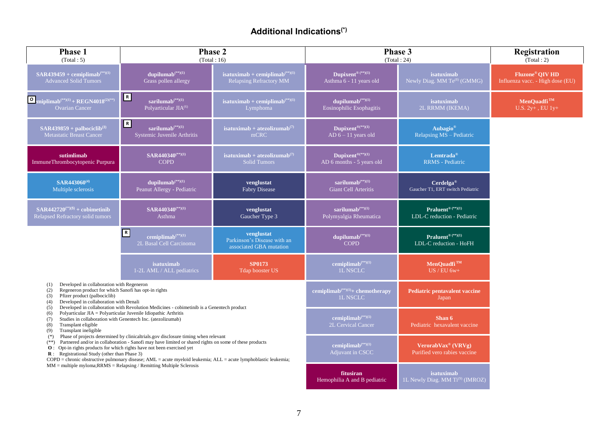## **Additional Indications(\*)**

| Phase 1<br>(Total: 5)                                                                                                                                                                                                                                                                                                                                                                                                                                                                                                     |                                                                                      | <b>Phase 2</b><br>Phase 3<br>(Total: 24)<br>(Total: 16)               |                                                                            | Registration<br>(Total: 2)                                |                                                                 |
|---------------------------------------------------------------------------------------------------------------------------------------------------------------------------------------------------------------------------------------------------------------------------------------------------------------------------------------------------------------------------------------------------------------------------------------------------------------------------------------------------------------------------|--------------------------------------------------------------------------------------|-----------------------------------------------------------------------|----------------------------------------------------------------------------|-----------------------------------------------------------|-----------------------------------------------------------------|
| <b>SAR439459</b> + cemiplimab <sup>(**)(1)</sup><br><b>Advanced Solid Tumors</b>                                                                                                                                                                                                                                                                                                                                                                                                                                          | dupilumab <sup>(**)(1)</sup><br>Grass pollen allergy                                 | isatuximab + cemiplimab <sup>(**)(1)</sup><br>Relapsing Refractory MM | Dupixent <sup>® <math>(**)(1)</math></sup><br>Asthma 6 - 11 years old      | isatuximab<br>Newly Diag. MM Te <sup>(8)</sup> (GMMG)     | Fluzone <sup>®</sup> QIV HD<br>Influenza vacc. - High dose (EU) |
| $\boxed{\textbf{0}}$ <sub>:miplimab<sup>(**)(1)</sup> + REGN4018<sup>(2)(**)</sup></sub><br><b>Ovarian Cancer</b>                                                                                                                                                                                                                                                                                                                                                                                                         | $\boxed{\mathbb{E}}$<br>sarilumab $(***)(1)$<br>Polyarticular JIA <sup>(6)</sup>     | isatuximab + cemiplimab <sup>(**)(1)</sup><br>Lymphoma                | dupilumab $(***)(1)$<br>Eosinophilic Esophagitis                           | isatuximab<br>2L RRMM (IKEMA)                             | MenQuadfi <sup>™</sup><br>U.S. 2y+, EU 1y+                      |
| $SAR439859 + palbociclib(3)$<br>Metastatic Breast Cancer                                                                                                                                                                                                                                                                                                                                                                                                                                                                  | $\boxed{\mathbb{R}}$<br>sarilumab $(***)(1)$<br>Systemic Juvenile Arthritis          | isatuximab + atezolizumab <sup>(7)</sup><br>mCRC                      | Dupixent <sup>®(**)(1)</sup><br>AD $6 - 11$ years old                      | Aubagio <sup>®</sup><br>Relapsing MS - Pediatric          |                                                                 |
| sutimlimab<br>ImmuneThrombocytopenic Purpura                                                                                                                                                                                                                                                                                                                                                                                                                                                                              | $SAR440340^{(**)(1)}$<br><b>COPD</b>                                                 | isatuximab + atezolizumab $(7)$<br><b>Solid Tumors</b>                | Dupixent <sup>®(**)(1)</sup><br>AD 6 months - 5 years old                  | Lemtrada <sup>®</sup><br><b>RRMS</b> - Pediatric          |                                                                 |
| SAR443060 <sup>(4)</sup><br>Multiple sclerosis                                                                                                                                                                                                                                                                                                                                                                                                                                                                            | dupilumab <sup>(**)(1)</sup><br>Peanut Allergy - Pediatric                           | venglustat<br><b>Fabry Disease</b>                                    | sarilumab $(***)(1)$<br>Giant Cell Arteritis                               | Cerdelga <sup>®</sup><br>Gaucher T1, ERT switch Pediatric |                                                                 |
| $\overline{\text{SAR442720}^{(\ast)(5)}} + \text{cobime}$ tinib<br>Relapsed Refractory solid tumors                                                                                                                                                                                                                                                                                                                                                                                                                       | SAR440340 <sup>(**)(1)</sup><br>Asthma                                               | venglustat<br>Gaucher Type 3                                          | sarilumab $(***)(1)$<br>Polymyalgia Rheumatica                             | Praluent® $(**)(1)$<br>LDL-C reduction - Pediatric        |                                                                 |
|                                                                                                                                                                                                                                                                                                                                                                                                                                                                                                                           | $\boxed{R}$<br>cemiplimab <sup><math>(**)(1)</math></sup><br>2L Basal Cell Carcinoma | venglustat<br>Parkinson's Disease with an<br>associated GBA mutation  | dupilumab $(***)(1)$<br><b>COPD</b>                                        | Praluent® $(**)(1)$<br>LDL-C reduction - HoFH             |                                                                 |
|                                                                                                                                                                                                                                                                                                                                                                                                                                                                                                                           | <b>isatuximab</b><br>1-2L AML / ALL pediatrics                                       | <b>SP0173</b><br>Tdap booster US                                      | cemiplimab <sup><math>(**)(1)</math></sup><br>1L NSCLC                     | MenQuadfi <sup>™</sup><br>$US / EU 6w+$                   |                                                                 |
| Developed in collaboration with Regeneron<br>(1)<br>Regeneron product for which Sanofi has opt-in rights<br>(2)<br>Pfizer product (palbociclib)<br>(3)<br>Developed in collaboration with Denali<br>(4)<br>Developed in collaboration with Revolution Medicines - cobimetinib is a Genentech product<br>(5)<br>Polyarticular JIA = Polyarticular Juvenile Idiopathic Arthritis<br>(6)<br>Studies in collaboration with Genentech Inc. (atezolizumab)<br>(7)<br>Transplant eligible<br>(8)<br>Transplant ineligible<br>(9) |                                                                                      |                                                                       | cemiplimab <sup>(**)(1)</sup> + chemotherapy<br>1L NSCLC                   | <b>Pediatric pentavalent vaccine</b><br>Japan             |                                                                 |
|                                                                                                                                                                                                                                                                                                                                                                                                                                                                                                                           |                                                                                      |                                                                       | cemiplimab <sup><math>(**)(1)</math></sup><br>2L Cervical Cancer           | Shan 6<br>Pediatric hexavalent vaccine                    |                                                                 |
| Phase of projects determined by clinicaltrials.gov disclosure timing when relevant<br>$(*)$<br>Partnered and/or in collaboration - Sanofi may have limited or shared rights on some of these products<br>$(**)$<br>Opt-in rights products for which rights have not been exercised yet<br>$\mathbf{O}:$<br>Registrational Study (other than Phase 3)<br>$\mathbf{R}$ :<br>$COPD =$ chronic obstructive pulmonary disease; AML = acute myeloïd leukemia; ALL = acute lymphoblastic leukemia;                               |                                                                                      | cemiplimab <sup><math>(**)(1)</math></sup><br>Adjuvant in CSCC        | Verorab $\text{Vax}^{\circledcirc}$ (VRVg)<br>Purified vero rabies vaccine |                                                           |                                                                 |
|                                                                                                                                                                                                                                                                                                                                                                                                                                                                                                                           | $MM =$ multiple myloma; $RRMS =$ Relapsing / Remitting Multiple Sclerosis            |                                                                       | fitusiran<br>Hemophilia A and B pediatric                                  | isatuximab<br>1L Newly Diag. MM Ti <sup>(9)</sup> (IMROZ) |                                                                 |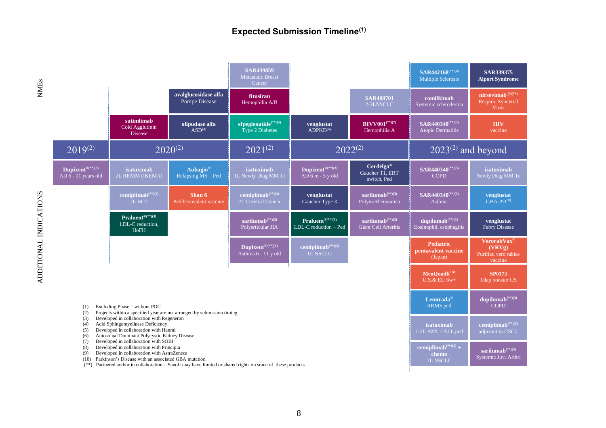# **Expected Submission Timeline(1)**

|                                                                                                                                                                                                                                                                                                                                                                     |                                                                 |                                            | <b>SAR439859</b><br><b>Metastatic Breast</b><br>Cancer           |                                                        |                                                         | SAR442168 <sup>(**)(8)</sup><br><b>Multiple Sclerosis</b>          | SAR339375<br><b>Alport Syndrome</b>                          |
|---------------------------------------------------------------------------------------------------------------------------------------------------------------------------------------------------------------------------------------------------------------------------------------------------------------------------------------------------------------------|-----------------------------------------------------------------|--------------------------------------------|------------------------------------------------------------------|--------------------------------------------------------|---------------------------------------------------------|--------------------------------------------------------------------|--------------------------------------------------------------|
|                                                                                                                                                                                                                                                                                                                                                                     |                                                                 | avalglucosidase alfa<br>Pompe Disease      | fitusiran<br>Hemophilia A/B                                      |                                                        | <b>SAR408701</b><br>2-3LNSCLC                           | romilkimab<br>Systemic scleroderma                                 | nirsevimab <sup>(9)(**)</sup><br>Respira. Syncytial<br>Virus |
|                                                                                                                                                                                                                                                                                                                                                                     | sutimlimab<br>Cold Agglutinin<br><b>Disease</b>                 | olipudase alfa<br>ASD <sup>(4)</sup>       | efpeglenatide $(***)(5)$<br><b>Type 2 Diabetes</b>               | venglustat<br>ADPKD <sup>(6)</sup>                     | $BIVV001^{(**)(7)}$<br>Hemophilia A                     | $SAR440340^{(**)}$<br><b>Atopic Dermatitis</b>                     | <b>HIV</b><br>vaccine                                        |
| $\sqrt{2019^{(2)}}$                                                                                                                                                                                                                                                                                                                                                 |                                                                 | $\sqrt{2020^{(2)}}$                        | $(2021^{(2)}$                                                    | $\sqrt{2022^{(2)}}$                                    |                                                         | $2023^{(2)}$ and beyond                                            |                                                              |
| Dupixent <sup>®(**)(3)</sup><br>AD 6 - 11 years old                                                                                                                                                                                                                                                                                                                 | isatuximab<br>2L RRMM (IKEMA)                                   | Aubagio <sup>®</sup><br>Relapsing MS - Ped | isatuximab<br>1L Newly Diag MM Ti                                | Dupixent <sup>®(**)(3)</sup><br>$AD 6 m - 5 y old$     | Cerdelga <sup>®</sup><br>Gaucher T1, ERT<br>switch, Ped | SAR440340 <sup>(**)(3)</sup><br><b>COPD</b>                        | isatuximab<br>Newly Diag MM Te                               |
|                                                                                                                                                                                                                                                                                                                                                                     | cemiplimab <sup><math>(**)(3)</math></sup><br>2L BCC            | Shan 6<br>Ped hexavalent vaccine           | cemiplimab <sup><math>(**)(3)</math></sup><br>2L Cervical Cancer | venglustat<br>Gaucher Type 3                           | sarilumab $(2^*)$<br>Polym.Rheumatica                   | SAR440340 <sup>(**)(3)</sup><br>Asthma                             | venglustat<br>$GBA-PD10$                                     |
|                                                                                                                                                                                                                                                                                                                                                                     | Praluent <sup>®(**)(3)</sup><br>LDL-C reduction,<br><b>HoFH</b> |                                            | sarilumab $(***)(3)$<br>Polyarticular JIA                        | Praluent <sup>®(**)(3)</sup><br>LDL-C reduction - Ped  | sarilumab $(***)(3)$<br><b>Giant Cell Arteritis</b>     | $\overline{\text{dupilumab}^{(**)(3)}}$<br>Eosinophil. esophagitis | venglustat<br><b>Fabry Disease</b>                           |
|                                                                                                                                                                                                                                                                                                                                                                     |                                                                 |                                            | Dupixent® $(**)(3)$<br>Asthma 6 - 11 y old                       | cemiplimab <sup><math>(**)(3)</math></sup><br>1L NSCLC |                                                         | <b>Pediatric</b><br>pentavalent vaccine<br>(Japan)                 | VerorabVax®<br>(VRVg)<br>Purified vero rabies<br>vaccine     |
|                                                                                                                                                                                                                                                                                                                                                                     |                                                                 |                                            |                                                                  |                                                        |                                                         | MenOuadfi <sup>TM</sup><br>$\overline{U.S}.\&$ EU $6w+$            | <b>SP0173</b><br>Tdap booster US                             |
| Excluding Phase 1 without POC<br>(1)<br>Projects within a specified year are not arranged by submission timing<br>(2)<br>Developed in collaboration with Regeneron<br>(3)<br>Acid Sphingomyelinase Deficiency<br>(4)<br>Developed in collaboration with Hanmi<br>(5)<br>Autosomal Dominant Polycystic Kidney Disease<br>(6)<br>Developed in collaboration with SOBI |                                                                 |                                            |                                                                  |                                                        | Lemtrada <sup>®</sup><br>RRMS ped                       | dupilumab $(***)(3)$<br><b>COPD</b>                                |                                                              |
|                                                                                                                                                                                                                                                                                                                                                                     |                                                                 |                                            |                                                                  |                                                        | isatuximab<br>1-2L AML / ALL ped                        | cemiplimab <sup><math>(**)(3)</math></sup><br>adjuvant in CSCC     |                                                              |
| (7)<br>Developed in collaboration with Principia<br>(8)<br>Developed in collaboration with AstraZeneca<br>(9)<br>Parkinson's Disease with an associated GBA mutation<br>(10)<br>Partnered and/or in collaboration – Sanofi may have limited or shared rights on some of these products<br>$^{(**)}$                                                                 |                                                                 |                                            |                                                                  | cemiplimab <sup>(**)(3)</sup> +<br>chemo<br>1L NSCLC   | sarilumab $(2^*)$<br>Systemic Juv. Arthri               |                                                                    |                                                              |

NMEs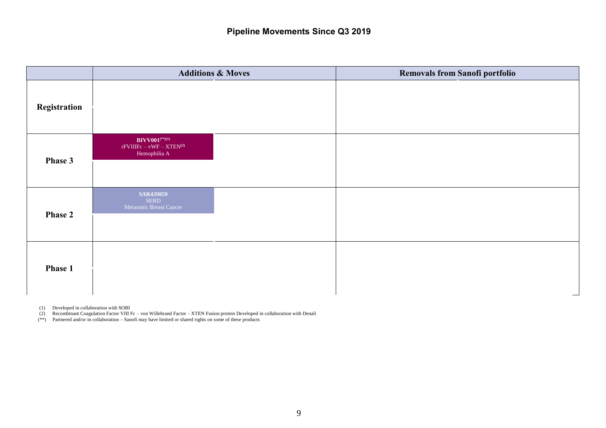|                |                                                                      | <b>Additions &amp; Moves</b> | <b>Removals from Sanofi portfolio</b> |
|----------------|----------------------------------------------------------------------|------------------------------|---------------------------------------|
| Registration   |                                                                      |                              |                                       |
| Phase 3        | $BIVV001^{(**)(1)}$<br>$rFVIIIFc - vWF - XTEN^{(2)}$<br>Hemophilia A |                              |                                       |
| <b>Phase 2</b> | <b>SAR439859</b><br><b>SERD</b><br>Metastatic Breast Cancer          |                              |                                       |
| Phase 1        |                                                                      |                              |                                       |

(1) Developed in collaboration with SOBI

(2) Recombinant Coagulation Factor VIII Fc – von Willebrand Factor – XTEN Fusion protein Developed in collaboration with Denali

(\*\*) Partnered and/or in collaboration – Sanofi may have limited or shared rights on some of these products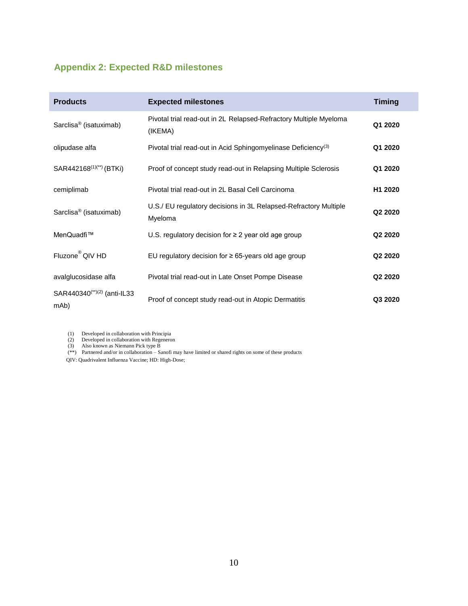# **Appendix 2: Expected R&D milestones**

| <b>Products</b>                                 | <b>Expected milestones</b>                                                   | <b>Timing</b>                   |
|-------------------------------------------------|------------------------------------------------------------------------------|---------------------------------|
| Sarclisa <sup>®</sup> (isatuximab)              | Pivotal trial read-out in 2L Relapsed-Refractory Multiple Myeloma<br>(IKEMA) | Q1 2020                         |
| olipudase alfa                                  | Pivotal trial read-out in Acid Sphingomyelinase Deficiency <sup>(3)</sup>    | Q1 2020                         |
| SAR442168 <sup>(1)(**)</sup> (BTKi)             | Proof of concept study read-out in Relapsing Multiple Sclerosis              | Q1 2020                         |
| cemiplimab                                      | Pivotal trial read-out in 2L Basal Cell Carcinoma                            | H <sub>1</sub> 2020             |
| Sarclisa <sup>®</sup> (isatuximab)              | U.S./ EU regulatory decisions in 3L Relapsed-Refractory Multiple<br>Myeloma  | Q <sub>2</sub> 20 <sub>20</sub> |
| MenQuadfi™                                      | U.S. regulatory decision for $\geq 2$ year old age group                     | Q <sub>2</sub> 20 <sub>20</sub> |
| Fluzone <sup>®</sup> QIV HD                     | EU regulatory decision for $\geq 65$ -years old age group                    | Q <sub>2</sub> 20 <sub>20</sub> |
| avalglucosidase alfa                            | Pivotal trial read-out in Late Onset Pompe Disease                           | Q <sub>2</sub> 20 <sub>20</sub> |
| SAR440340 <sup>(**)(2)</sup> (anti-IL33<br>mAb) | Proof of concept study read-out in Atopic Dermatitis                         | Q3 2020                         |

(1) Developed in collaboration with Principia

(2) Developed in collaboration with Regeneron

(3) Also known as Niemann Pick type B

(\*\*) Partnered and/or in collaboration – Sanofi may have limited or shared rights on some of these products

QIV: Quadrivalent Influenza Vaccine; HD: High-Dose;